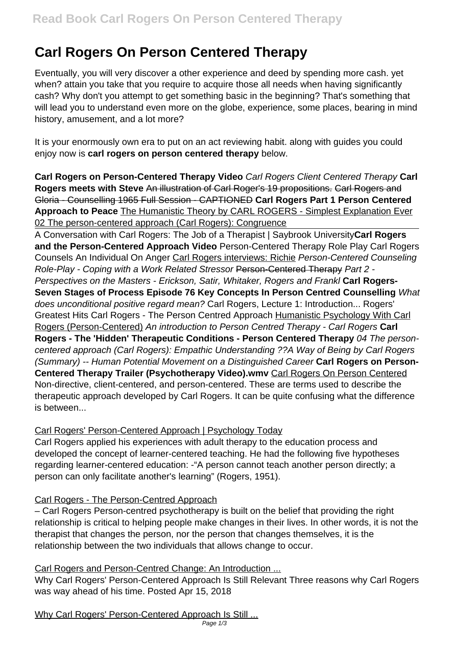# **Carl Rogers On Person Centered Therapy**

Eventually, you will very discover a other experience and deed by spending more cash. yet when? attain you take that you require to acquire those all needs when having significantly cash? Why don't you attempt to get something basic in the beginning? That's something that will lead you to understand even more on the globe, experience, some places, bearing in mind history, amusement, and a lot more?

It is your enormously own era to put on an act reviewing habit. along with guides you could enjoy now is **carl rogers on person centered therapy** below.

**Carl Rogers on Person-Centered Therapy Video** Carl Rogers Client Centered Therapy **Carl Rogers meets with Steve** An illustration of Carl Roger's 19 propositions. Carl Rogers and Gloria - Counselling 1965 Full Session - CAPTIONED **Carl Rogers Part 1 Person Centered Approach to Peace** The Humanistic Theory by CARL ROGERS - Simplest Explanation Ever 02 The person-centered approach (Carl Rogers): Congruence

A Conversation with Carl Rogers: The Job of a Therapist | Saybrook University**Carl Rogers and the Person-Centered Approach Video** Person-Centered Therapy Role Play Carl Rogers Counsels An Individual On Anger Carl Rogers interviews: Richie Person-Centered Counseling Role-Play - Coping with a Work Related Stressor Person-Centered Therapy Part 2 - Perspectives on the Masters - Erickson, Satir, Whitaker, Rogers and Frankl **Carl Rogers-Seven Stages of Process Episode 76 Key Concepts In Person Centred Counselling** What does unconditional positive regard mean? Carl Rogers, Lecture 1: Introduction... Rogers' Greatest Hits Carl Rogers - The Person Centred Approach Humanistic Psychology With Carl Rogers (Person-Centered) An introduction to Person Centred Therapy - Carl Rogers **Carl Rogers - The 'Hidden' Therapeutic Conditions - Person Centered Therapy** 04 The personcentered approach (Carl Rogers): Empathic Understanding ??A Way of Being by Carl Rogers (Summary) -- Human Potential Movement on a Distinguished Career **Carl Rogers on Person-Centered Therapy Trailer (Psychotherapy Video).wmv** Carl Rogers On Person Centered Non-directive, client-centered, and person-centered. These are terms used to describe the therapeutic approach developed by Carl Rogers. It can be quite confusing what the difference is between...

## Carl Rogers' Person-Centered Approach | Psychology Today

Carl Rogers applied his experiences with adult therapy to the education process and developed the concept of learner-centered teaching. He had the following five hypotheses regarding learner-centered education: -"A person cannot teach another person directly; a person can only facilitate another's learning" (Rogers, 1951).

## Carl Rogers - The Person-Centred Approach

– Carl Rogers Person-centred psychotherapy is built on the belief that providing the right relationship is critical to helping people make changes in their lives. In other words, it is not the therapist that changes the person, nor the person that changes themselves, it is the relationship between the two individuals that allows change to occur.

# Carl Rogers and Person-Centred Change: An Introduction ...

Why Carl Rogers' Person-Centered Approach Is Still Relevant Three reasons why Carl Rogers was way ahead of his time. Posted Apr 15, 2018

Why Carl Rogers' Person-Centered Approach Is Still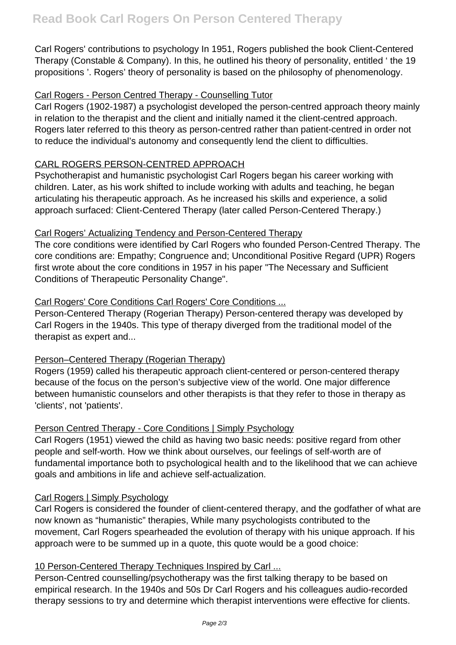Carl Rogers' contributions to psychology In 1951, Rogers published the book Client-Centered Therapy (Constable & Company). In this, he outlined his theory of personality, entitled ' the 19 propositions '. Rogers' theory of personality is based on the philosophy of phenomenology.

## Carl Rogers - Person Centred Therapy - Counselling Tutor

Carl Rogers (1902-1987) a psychologist developed the person-centred approach theory mainly in relation to the therapist and the client and initially named it the client-centred approach. Rogers later referred to this theory as person-centred rather than patient-centred in order not to reduce the individual's autonomy and consequently lend the client to difficulties.

## CARL ROGERS PERSON-CENTRED APPROACH

Psychotherapist and humanistic psychologist Carl Rogers began his career working with children. Later, as his work shifted to include working with adults and teaching, he began articulating his therapeutic approach. As he increased his skills and experience, a solid approach surfaced: Client-Centered Therapy (later called Person-Centered Therapy.)

## Carl Rogers' Actualizing Tendency and Person-Centered Therapy

The core conditions were identified by Carl Rogers who founded Person-Centred Therapy. The core conditions are: Empathy; Congruence and; Unconditional Positive Regard (UPR) Rogers first wrote about the core conditions in 1957 in his paper "The Necessary and Sufficient Conditions of Therapeutic Personality Change".

## Carl Rogers' Core Conditions Carl Rogers' Core Conditions ...

Person-Centered Therapy (Rogerian Therapy) Person-centered therapy was developed by Carl Rogers in the 1940s. This type of therapy diverged from the traditional model of the therapist as expert and...

## Person–Centered Therapy (Rogerian Therapy)

Rogers (1959) called his therapeutic approach client-centered or person-centered therapy because of the focus on the person's subjective view of the world. One major difference between humanistic counselors and other therapists is that they refer to those in therapy as 'clients', not 'patients'.

## Person Centred Therapy - Core Conditions | Simply Psychology

Carl Rogers (1951) viewed the child as having two basic needs: positive regard from other people and self-worth. How we think about ourselves, our feelings of self-worth are of fundamental importance both to psychological health and to the likelihood that we can achieve goals and ambitions in life and achieve self-actualization.

## Carl Rogers | Simply Psychology

Carl Rogers is considered the founder of client-centered therapy, and the godfather of what are now known as "humanistic" therapies, While many psychologists contributed to the movement, Carl Rogers spearheaded the evolution of therapy with his unique approach. If his approach were to be summed up in a quote, this quote would be a good choice:

## 10 Person-Centered Therapy Techniques Inspired by Carl ...

Person-Centred counselling/psychotherapy was the first talking therapy to be based on empirical research. In the 1940s and 50s Dr Carl Rogers and his colleagues audio-recorded therapy sessions to try and determine which therapist interventions were effective for clients.